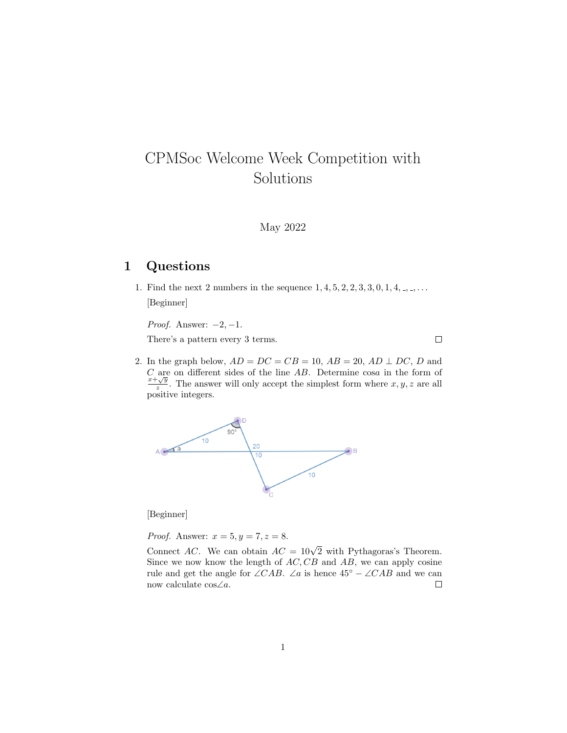## CPMSoc Welcome Week Competition with Solutions

May 2022

## 1 Questions

1. Find the next 2 numbers in the sequence  $1, 4, 5, 2, 2, 3, 3, 0, 1, 4, ...,$ [Beginner]

*Proof.* Answer:  $-2$ ,  $-1$ .

There's a pattern every 3 terms.

2. In the graph below,  $AD = DC = CB = 10$ ,  $AB = 20$ ,  $AD \perp DC$ , D and  $C$  are on different sides of the line  $AB$ . Determine  $\cos a$  in the form of  $∪$  are<br> $x+\sqrt{y}$  $\frac{y}{z}$ . The answer will only accept the simplest form where  $x, y, z$  are all positive integers.

 $\Box$ 



[Beginner]

*Proof.* Answer:  $x = 5, y = 7, z = 8$ .

Connect AC. We can obtain  $AC = 10\sqrt{2}$  with Pythagoras's Theorem. Since we now know the length of  $AC, CB$  and  $AB$ , we can apply cosine rule and get the angle for  $\angle CAB$ . ∠a is hence  $45^{\circ} - \angle CAB$  and we can now calculate cos∠a.  $\Box$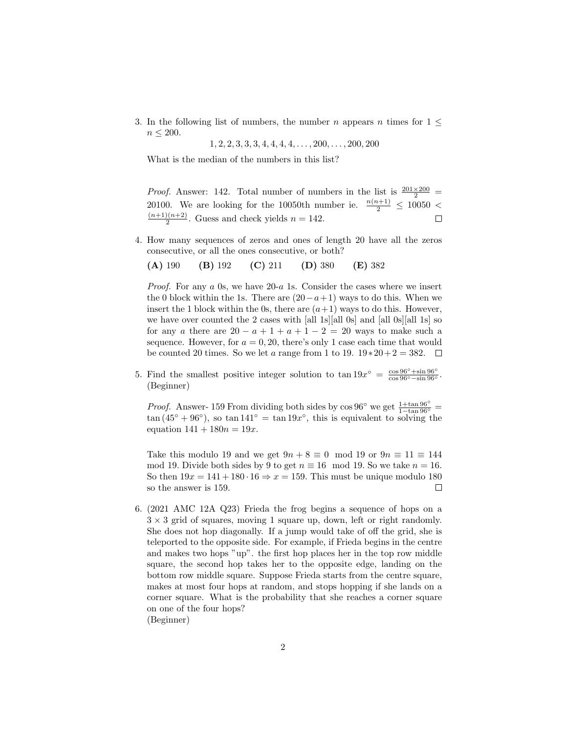3. In the following list of numbers, the number n appears n times for  $1 \leq$  $n \leq 200$ .

 $1, 2, 2, 3, 3, 3, 4, 4, 4, 4, \ldots, 200, \ldots, 200, 200$ 

What is the median of the numbers in this list?

*Proof.* Answer: 142. Total number of numbers in the list is  $\frac{201\times200}{2}$ 20100. We are looking for the 10050th number ie.  $\frac{n(n+1)}{2} \le 10050 < (n+1)(n+2)$  Cuess and sheels yields  $n = 142$  $\frac{2(n+2)}{2}$ . Guess and check yields  $n = 142$ .

4. How many sequences of zeros and ones of length 20 have all the zeros consecutive, or all the ones consecutive, or both?

(A) 190 (B) 192 (C) 211 (D) 380 (E) 382

*Proof.* For any  $a$  0s, we have 20- $a$  1s. Consider the cases where we insert the 0 block within the 1s. There are  $(20-a+1)$  ways to do this. When we insert the 1 block within the 0s, there are  $(a+1)$  ways to do this. However, we have over counted the 2 cases with [all 1s][all 0s] and [all 0s][all 1s] so for any a there are  $20 - a + 1 + a + 1 - 2 = 20$  ways to make such a sequence. However, for  $a = 0, 20$ , there's only 1 case each time that would be counted 20 times. So we let a range from 1 to 19.  $19*20+2=382$ .  $\Box$ 

5. Find the smallest positive integer solution to  $\tan 19x^{\circ} = \frac{\cos 96^{\circ} + \sin 96^{\circ}}{\cos 96^{\circ} - \sin 96^{\circ}}$ . (Beginner)

*Proof.* Answer- 159 From dividing both sides by  $\cos 96^\circ$  we get  $\frac{1+\tan 96^\circ}{1-\tan 96^\circ}$  =  $\tan (45° + 96°)$ , so  $\tan 141° = \tan 19x°$ , this is equivalent to solving the equation  $141 + 180n = 19x$ .

Take this modulo 19 and we get  $9n + 8 \equiv 0 \mod 19$  or  $9n \equiv 11 \equiv 144$ mod 19. Divide both sides by 9 to get  $n \equiv 16 \mod 19$ . So we take  $n = 16$ . So then  $19x = 141 + 180 \cdot 16 \Rightarrow x = 159$ . This must be unique modulo 180 so the answer is 159.  $\Box$ 

6. (2021 AMC 12A Q23) Frieda the frog begins a sequence of hops on a  $3 \times 3$  grid of squares, moving 1 square up, down, left or right randomly. She does not hop diagonally. If a jump would take of off the grid, she is teleported to the opposite side. For example, if Frieda begins in the centre and makes two hops "up". the first hop places her in the top row middle square, the second hop takes her to the opposite edge, landing on the bottom row middle square. Suppose Frieda starts from the centre square, makes at most four hops at random, and stops hopping if she lands on a corner square. What is the probability that she reaches a corner square on one of the four hops? (Beginner)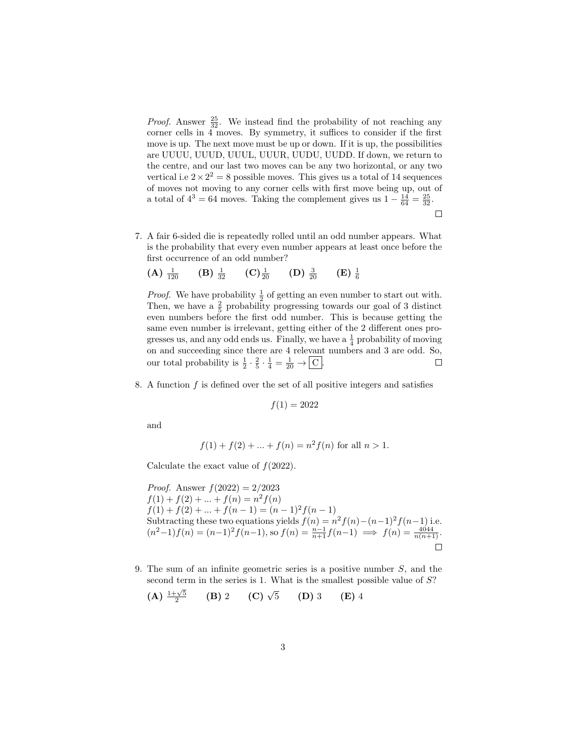*Proof.* Answer  $\frac{25}{32}$ . We instead find the probability of not reaching any corner cells in 4 moves. By symmetry, it suffices to consider if the first move is up. The next move must be up or down. If it is up, the possibilities are UUUU, UUUD, UUUL, UUUR, UUDU, UUDD. If down, we return to the centre, and our last two moves can be any two horizontal, or any two vertical i.e  $2 \times 2^2 = 8$  possible moves. This gives us a total of 14 sequences of moves not moving to any corner cells with first move being up, out of a total of  $4^3 = 64$  moves. Taking the complement gives us  $1 - \frac{14}{64} = \frac{25}{32}$ .  $\Box$ 

7. A fair 6-sided die is repeatedly rolled until an odd number appears. What is the probability that every even number appears at least once before the first occurrence of an odd number?

(A) 
$$
\frac{1}{120}
$$
 (B)  $\frac{1}{32}$  (C)  $\frac{1}{20}$  (D)  $\frac{3}{20}$  (E)  $\frac{1}{6}$ 

*Proof.* We have probability  $\frac{1}{2}$  of getting an even number to start out with. Then, we have a  $\frac{2}{5}$  probability progressing towards our goal of 3 distinct even numbers before the first odd number. This is because getting the same even number is irrelevant, getting either of the 2 different ones progresses us, and any odd ends us. Finally, we have a  $\frac{1}{4}$  probability of moving on and succeeding since there are 4 relevant numbers and 3 are odd. So, our total probability is  $\frac{1}{2} \cdot \frac{2}{5} \cdot \frac{1}{4} = \frac{1}{20} \rightarrow \boxed{C}$ .  $\Box$ 

8. A function  $f$  is defined over the set of all positive integers and satisfies

$$
f(1) = 2022
$$

and

$$
f(1) + f(2) + \dots + f(n) = n^2 f(n)
$$
 for all  $n > 1$ .

Calculate the exact value of  $f(2022)$ .

*Proof.* Answer  $f(2022) = 2/2023$  $f(1) + f(2) + \ldots + f(n) = n^2 f(n)$  $f(1) + f(2) + \ldots + f(n-1) = (n-1)^2 f(n-1)$ Subtracting these two equations yields  $f(n) = n^2 f(n) - (n-1)^2 f(n-1)$  i.e.  $(n^2-1)f(n) = (n-1)^2 f(n-1)$ , so  $f(n) = \frac{n-1}{n+1} f(n-1) \implies f(n) = \frac{4044}{n(n+1)}$ .  $\Box$ 

9. The sum of an infinite geometric series is a positive number S, and the second term in the series is 1. What is the smallest possible value of  $S$ ?

(A) 
$$
\frac{1+\sqrt{5}}{2}
$$
 (B) 2 (C)  $\sqrt{5}$  (D) 3 (E) 4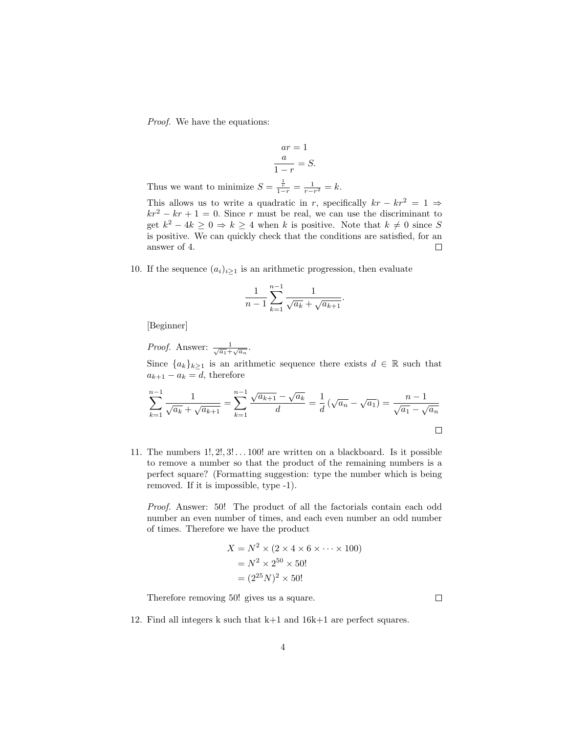Proof. We have the equations:

$$
ar = 1
$$

$$
\frac{a}{1-r} = S.
$$

Thus we want to minimize  $S = \frac{\frac{1}{r}}{1-r} = \frac{1}{r-r^2} = k$ .

This allows us to write a quadratic in r, specifically  $kr - kr^2 = 1 \Rightarrow$  $kr^{2} - kr + 1 = 0$ . Since r must be real, we can use the discriminant to get  $k^2 - 4k \geq 0 \Rightarrow k \geq 4$  when k is positive. Note that  $k \neq 0$  since S is positive. We can quickly check that the conditions are satisfied, for an answer of 4.  $\Box$ 

10. If the sequence  $(a_i)_{i\geq 1}$  is an arithmetic progression, then evaluate

$$
\frac{1}{n-1}\sum_{k=1}^{n-1}\frac{1}{\sqrt{a_k}+\sqrt{a_{k+1}}}.
$$

[Beginner]

*Proof.* Answer:  $\frac{1}{\sqrt{a_1} + \sqrt{a_n}}$ .

Since  $\{a_k\}_{k\geq 1}$  is an arithmetic sequence there exists  $d \in \mathbb{R}$  such that  $a_{k+1} - a_k = d$ , therefore

$$
\sum_{k=1}^{n-1} \frac{1}{\sqrt{a_k} + \sqrt{a_{k+1}}} = \sum_{k=1}^{n-1} \frac{\sqrt{a_{k+1}} - \sqrt{a_k}}{d} = \frac{1}{d} \left( \sqrt{a_n} - \sqrt{a_1} \right) = \frac{n-1}{\sqrt{a_1} - \sqrt{a_n}}
$$

11. The numbers  $1!, 2!, 3! \ldots 100!$  are written on a blackboard. Is it possible to remove a number so that the product of the remaining numbers is a perfect square? (Formatting suggestion: type the number which is being removed. If it is impossible, type -1).

Proof. Answer: 50! The product of all the factorials contain each odd number an even number of times, and each even number an odd number of times. Therefore we have the product

$$
X = N^2 \times (2 \times 4 \times 6 \times \dots \times 100)
$$
  
=  $N^2 \times 2^{50} \times 50!$   
=  $(2^{25}N)^2 \times 50!$ 

Therefore removing 50! gives us a square.

 $\Box$ 

12. Find all integers k such that k+1 and 16k+1 are perfect squares.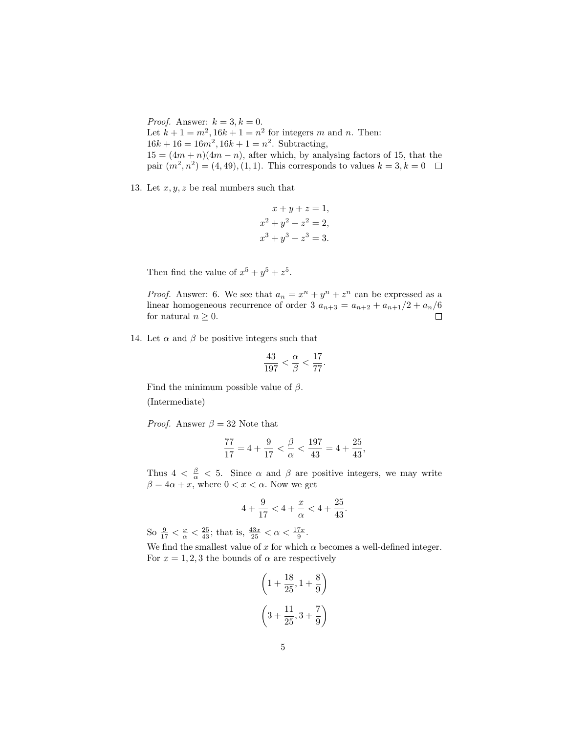*Proof.* Answer:  $k = 3, k = 0$ . Let  $k + 1 = m^2$ ,  $16k + 1 = n^2$  for integers m and n. Then:  $16k + 16 = 16m^2$ ,  $16k + 1 = n^2$ . Subtracting,  $15 = (4m + n)(4m - n)$ , after which, by analysing factors of 15, that the pair  $(m^2, n^2) = (4, 49), (1, 1)$ . This corresponds to values  $k = 3, k = 0$ 

13. Let  $x, y, z$  be real numbers such that

$$
x + y + z = 1,
$$
  
\n
$$
x2 + y2 + z2 = 2,
$$
  
\n
$$
x3 + y3 + z3 = 3.
$$

Then find the value of  $x^5 + y^5 + z^5$ .

*Proof.* Answer: 6. We see that  $a_n = x^n + y^n + z^n$  can be expressed as a linear homogeneous recurrence of order 3  $a_{n+3} = a_{n+2} + a_{n+1}/2 + a_n/6$  for natural  $n > 0$ . for natural  $n \geq 0$ .

14. Let  $\alpha$  and  $\beta$  be positive integers such that

$$
\frac{43}{197} < \frac{\alpha}{\beta} < \frac{17}{77}
$$

.

Find the minimum possible value of  $\beta$ .

(Intermediate)

*Proof.* Answer  $\beta = 32$  Note that

$$
\frac{77}{17} = 4 + \frac{9}{17} < \frac{\beta}{\alpha} < \frac{197}{43} = 4 + \frac{25}{43},
$$

Thus  $4 < \frac{\beta}{\alpha} < 5$ . Since  $\alpha$  and  $\beta$  are positive integers, we may write  $\beta = 4\alpha + x$ , where  $0 < x < \alpha$ . Now we get

$$
4 + \frac{9}{17} < 4 + \frac{x}{\alpha} < 4 + \frac{25}{43}.
$$

So  $\frac{9}{17} < \frac{x}{\alpha} < \frac{25}{43}$ ; that is,  $\frac{43x}{25} < \alpha < \frac{17x}{9}$ .

We find the smallest value of x for which  $\alpha$  becomes a well-defined integer. For  $x = 1, 2, 3$  the bounds of  $\alpha$  are respectively

 $\sim$ 

 $\overline{18}$ 

 $\lambda$ 

$$
\left(1 + \frac{18}{25}, 1 + \frac{8}{9}\right)
$$

$$
\left(3 + \frac{11}{25}, 3 + \frac{7}{9}\right)
$$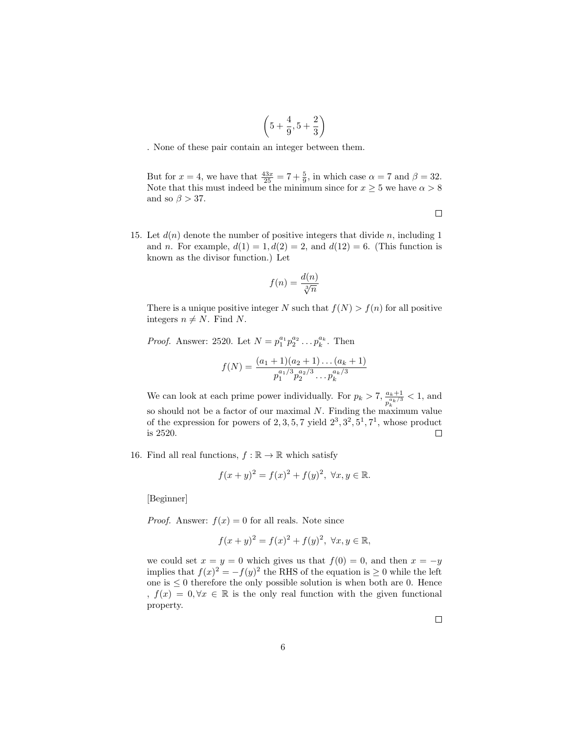$$
\left(5+\frac{4}{9},5+\frac{2}{3}\right)
$$

. None of these pair contain an integer between them.

But for  $x = 4$ , we have that  $\frac{43x}{25} = 7 + \frac{5}{9}$ , in which case  $\alpha = 7$  and  $\beta = 32$ . Note that this must indeed be the minimum since for  $x \ge 5$  we have  $\alpha > 8$ and so  $\beta > 37.$ 

15. Let  $d(n)$  denote the number of positive integers that divide n, including 1 and n. For example,  $d(1) = 1, d(2) = 2$ , and  $d(12) = 6$ . (This function is known as the divisor function.) Let

$$
f(n) = \frac{d(n)}{\sqrt[3]{n}}
$$

There is a unique positive integer N such that  $f(N) > f(n)$  for all positive integers  $n \neq N$ . Find N.

*Proof.* Answer: 2520. Let  $N = p_1^{a_1} p_2^{a_2} \dots p_k^{a_k}$ . Then

$$
f(N) = \frac{(a_1 + 1)(a_2 + 1) \dots (a_k + 1)}{p_1^{a_1/3} p_2^{a_2/3} \dots p_k^{a_k/3}}
$$

We can look at each prime power individually. For  $p_k > 7$ ,  $\frac{a_k+1}{a_k/3}$  $\frac{a_k+1}{p_k^{a_k/3}} < 1$ , and so should not be a factor of our maximal  $N$ . Finding the maximum value of the expression for powers of  $2, 3, 5, 7$  yield  $2^3, 3^2, 5^1, 7^1$ , whose product is 2520.  $\Box$ 

16. Find all real functions,  $f : \mathbb{R} \to \mathbb{R}$  which satisfy

$$
f(x+y)^2 = f(x)^2 + f(y)^2, \ \forall x, y \in \mathbb{R}.
$$

[Beginner]

*Proof.* Answer:  $f(x) = 0$  for all reals. Note since

$$
f(x + y)^2 = f(x)^2 + f(y)^2, \ \forall x, y \in \mathbb{R},
$$

we could set  $x = y = 0$  which gives us that  $f(0) = 0$ , and then  $x = -y$ implies that  $f(x)^2 = -f(y)^2$  the RHS of the equation is  $\geq 0$  while the left one is  $\leq 0$  therefore the only possible solution is when both are 0. Hence ,  $f(x) = 0, \forall x \in \mathbb{R}$  is the only real function with the given functional property.

 $\Box$ 

 $\Box$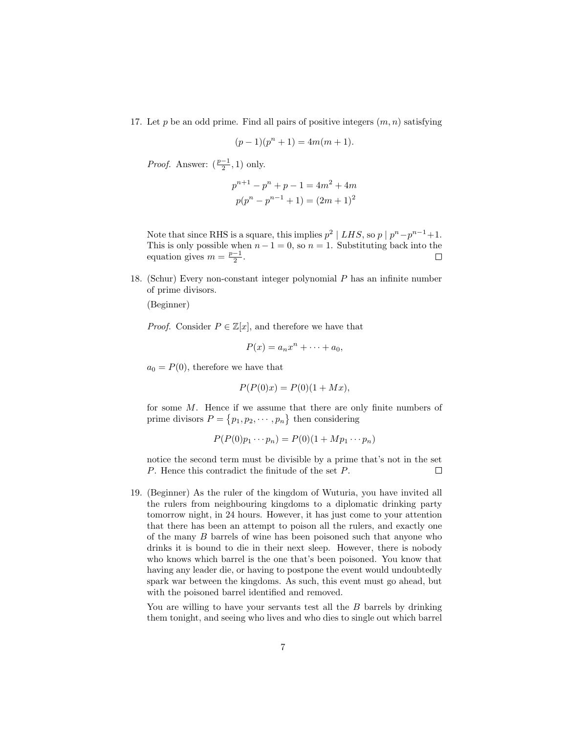17. Let p be an odd prime. Find all pairs of positive integers  $(m, n)$  satisfying

$$
(p-1)(p^{n}+1) = 4m(m+1).
$$

*Proof.* Answer:  $(\frac{p-1}{2}, 1)$  only.

$$
p^{n+1} - p^n + p - 1 = 4m^2 + 4m
$$

$$
p(p^n - p^{n-1} + 1) = (2m + 1)^2
$$

Note that since RHS is a square, this implies  $p^2 \mid LHS$ , so  $p \mid p^n - p^{n-1} + 1$ . This is only possible when  $n-1 = 0$ , so  $n = 1$ . Substituting back into the equation gives  $m = \frac{p-1}{2}$ .  $\Box$ 

18. (Schur) Every non-constant integer polynomial P has an infinite number of prime divisors.

(Beginner)

*Proof.* Consider  $P \in \mathbb{Z}[x]$ , and therefore we have that

$$
P(x) = a_n x^n + \dots + a_0,
$$

 $a_0 = P(0)$ , therefore we have that

$$
P(P(0)x) = P(0)(1 + Mx),
$$

for some  $M$ . Hence if we assume that there are only finite numbers of prime divisors  $P = \{p_1, p_2, \dots, p_n\}$  then considering

$$
P(P(0)p_1\cdots p_n)=P(0)(1+Mp_1\cdots p_n)
$$

notice the second term must be divisible by a prime that's not in the set P. Hence this contradict the finitude of the set P.  $\Box$ 

19. (Beginner) As the ruler of the kingdom of Wuturia, you have invited all the rulers from neighbouring kingdoms to a diplomatic drinking party tomorrow night, in 24 hours. However, it has just come to your attention that there has been an attempt to poison all the rulers, and exactly one of the many B barrels of wine has been poisoned such that anyone who drinks it is bound to die in their next sleep. However, there is nobody who knows which barrel is the one that's been poisoned. You know that having any leader die, or having to postpone the event would undoubtedly spark war between the kingdoms. As such, this event must go ahead, but with the poisoned barrel identified and removed.

You are willing to have your servants test all the B barrels by drinking them tonight, and seeing who lives and who dies to single out which barrel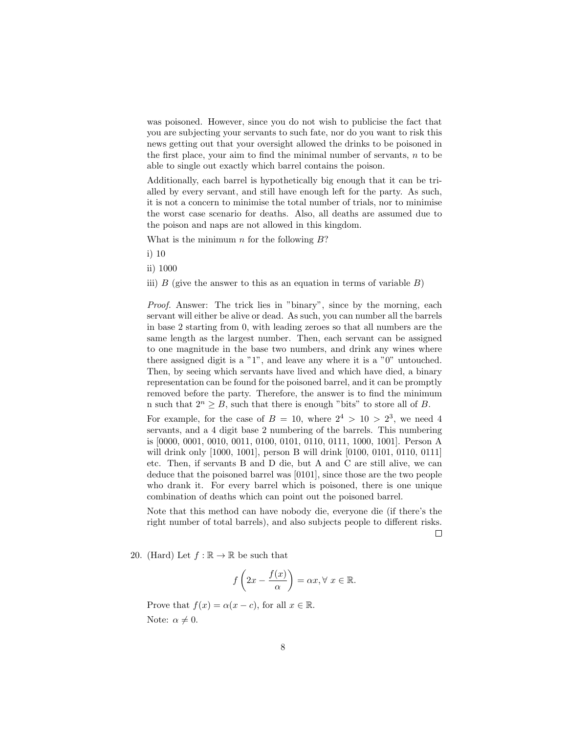was poisoned. However, since you do not wish to publicise the fact that you are subjecting your servants to such fate, nor do you want to risk this news getting out that your oversight allowed the drinks to be poisoned in the first place, your aim to find the minimal number of servants,  $n$  to be able to single out exactly which barrel contains the poison.

Additionally, each barrel is hypothetically big enough that it can be trialled by every servant, and still have enough left for the party. As such, it is not a concern to minimise the total number of trials, nor to minimise the worst case scenario for deaths. Also, all deaths are assumed due to the poison and naps are not allowed in this kingdom.

What is the minimum  $n$  for the following  $B$ ?

i) 10

ii) 1000

iii) B (give the answer to this as an equation in terms of variable  $B$ )

Proof. Answer: The trick lies in "binary", since by the morning, each servant will either be alive or dead. As such, you can number all the barrels in base 2 starting from 0, with leading zeroes so that all numbers are the same length as the largest number. Then, each servant can be assigned to one magnitude in the base two numbers, and drink any wines where there assigned digit is a "1", and leave any where it is a "0" untouched. Then, by seeing which servants have lived and which have died, a binary representation can be found for the poisoned barrel, and it can be promptly removed before the party. Therefore, the answer is to find the minimum n such that  $2^n > B$ , such that there is enough "bits" to store all of B.

For example, for the case of  $B = 10$ , where  $2^4 > 10 > 2^3$ , we need 4 servants, and a 4 digit base 2 numbering of the barrels. This numbering is [0000, 0001, 0010, 0011, 0100, 0101, 0110, 0111, 1000, 1001]. Person A will drink only [1000, 1001], person B will drink [0100, 0101, 0110, 0111] etc. Then, if servants B and D die, but A and C are still alive, we can deduce that the poisoned barrel was [0101], since those are the two people who drank it. For every barrel which is poisoned, there is one unique combination of deaths which can point out the poisoned barrel.

Note that this method can have nobody die, everyone die (if there's the right number of total barrels), and also subjects people to different risks.  $\Box$ 

20. (Hard) Let  $f : \mathbb{R} \to \mathbb{R}$  be such that

$$
f\left(2x - \frac{f(x)}{\alpha}\right) = \alpha x, \forall x \in \mathbb{R}.
$$

Prove that  $f(x) = \alpha(x - c)$ , for all  $x \in \mathbb{R}$ .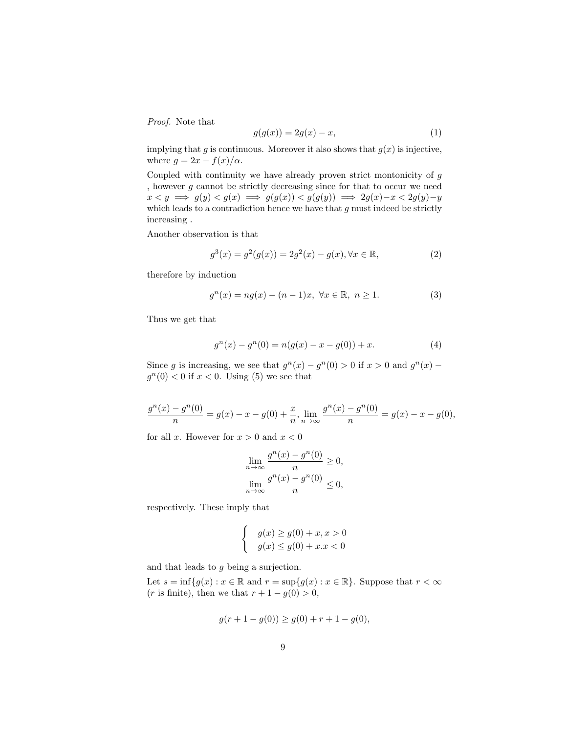Proof. Note that

$$
g(g(x)) = 2g(x) - x,\tag{1}
$$

implying that g is continuous. Moreover it also shows that  $g(x)$  is injective, where  $g = 2x - f(x)/\alpha$ .

Coupled with continuity we have already proven strict montonicity of g , however  $g$  cannot be strictly decreasing since for that to occur we need  $x < y \implies g(y) < g(x) \implies g(g(x)) < g(g(y)) \implies 2g(x) - x < 2g(y) - y$ which leads to a contradiction hence we have that  $g$  must indeed be strictly increasing .

Another observation is that

$$
g^{3}(x) = g^{2}(g(x)) = 2g^{2}(x) - g(x), \forall x \in \mathbb{R},
$$
\n(2)

therefore by induction

$$
g^{n}(x) = ng(x) - (n - 1)x, \ \forall x \in \mathbb{R}, \ n \ge 1.
$$
 (3)

Thus we get that

$$
g^{n}(x) - g^{n}(0) = n(g(x) - x - g(0)) + x.
$$
 (4)

Since g is increasing, we see that  $g^{n}(x) - g^{n}(0) > 0$  if  $x > 0$  and  $g^{n}(x)$  $g^{n}(0) < 0$  if  $x < 0$ . Using (5) we see that

$$
\frac{g^n(x) - g^n(0)}{n} = g(x) - x - g(0) + \frac{x}{n}, \lim_{n \to \infty} \frac{g^n(x) - g^n(0)}{n} = g(x) - x - g(0),
$$

for all x. However for  $x > 0$  and  $x < 0$ 

$$
\lim_{n \to \infty} \frac{g^n(x) - g^n(0)}{n} \ge 0,
$$
  

$$
\lim_{n \to \infty} \frac{g^n(x) - g^n(0)}{n} \le 0,
$$

respectively. These imply that

$$
\begin{cases}\n g(x) \ge g(0) + x, x > 0 \\
g(x) \le g(0) + x.x < 0\n\end{cases}
$$

and that leads to g being a surjection.

Let  $s = \inf\{g(x) : x \in \mathbb{R} \text{ and } r = \sup\{g(x) : x \in \mathbb{R}\}\)$ . Suppose that  $r < \infty$ (*r* is finite), then we that  $r + 1 - g(0) > 0$ ,

$$
g(r + 1 - g(0)) \ge g(0) + r + 1 - g(0),
$$